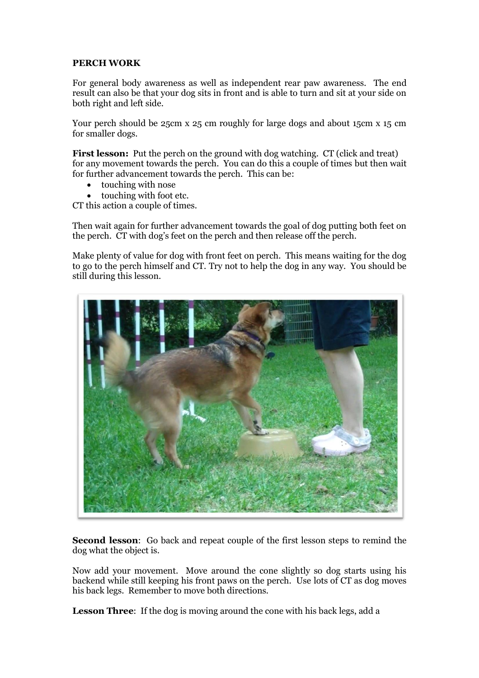## **PERCH WORK**

For general body awareness as well as independent rear paw awareness. The end result can also be that your dog sits in front and is able to turn and sit at your side on both right and left side.

Your perch should be 25cm x 25 cm roughly for large dogs and about 15cm x 15 cm for smaller dogs.

**First lesson:** Put the perch on the ground with dog watching. CT (click and treat) for any movement towards the perch. You can do this a couple of times but then wait for further advancement towards the perch. This can be:

- touching with nose
- touching with foot etc.

CT this action a couple of times.

Then wait again for further advancement towards the goal of dog putting both feet on the perch. CT with dog's feet on the perch and then release off the perch.

Make plenty of value for dog with front feet on perch. This means waiting for the dog to go to the perch himself and CT. Try not to help the dog in any way. You should be still during this lesson.



**Second lesson**: Go back and repeat couple of the first lesson steps to remind the dog what the object is.

Now add your movement. Move around the cone slightly so dog starts using his backend while still keeping his front paws on the perch. Use lots of CT as dog moves his back legs. Remember to move both directions.

**Lesson Three**: If the dog is moving around the cone with his back legs, add a